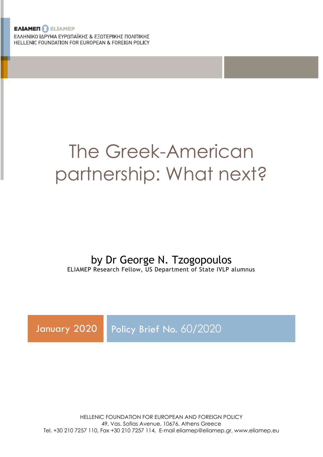**EAIAMEN BELIAMEP** ΕΛΛΗΝΙΚΟ ΙΔΡΥΜΑ ΕΥΡΩΠΑΪΚΗΣ & ΕΞΩΤΕΡΙΚΗΣ ΠΟΛΙΤΙΚΗΣ HELLENIC FOUNDATION FOR EUROPEAN & FOREIGN POLICY

# The Greek-American partnership: What next?

#### by Dr George N. Tzogopoulos ELIAMEP Research Fellow, US Department of State IVLP alumnus

January 2020 Policy Brief No. 60/2020

HELLENIC FOUNDATION FOR EUROPEAN AND FOREIGN POLICY 49, Vas. Sofias Avenue, 10676, Athens Greece Tel. +30 210 7257 110, Fax +30 210 7257 114, E-mail eliamep@eliamep.gr, www.eliamep.eu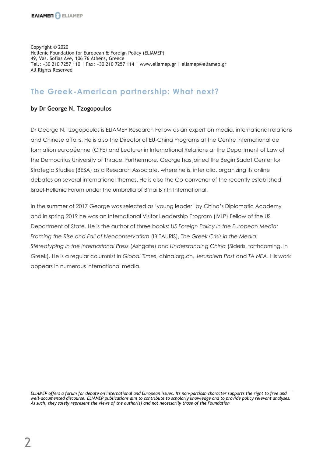Copyright © 2020 Hellenic Foundation for European & Foreign Policy (ELIAMEP) 49, Vas. Sofias Ave, 106 76 Athens, Greece Tel.: +30 210 7257 110 | Fax: +30 210 7257 114 | www.eliamep.gr | eliamep@eliamep.gr All Rights Reserved

### **The Greek-American partnership: What next?**

#### **by Dr George N. Tzogopoulos**

Dr George N. Tzogopoulos is ELIAMEP Research Fellow as an expert οn media, international relations and Chinese affairs. He is also the Director of EU-China Programs at the Centre international de formation européenne (CIFE) and Lecturer in International Relations at the Department of Law of the Democritus University of Thrace. Furthermore, George has joined the Begin Sadat Center for Strategic Studies (BESA) as a Research Associate, where he is, inter alia, organizing its online debates on several international themes. He is also the Co-convener of the recently established Israel-Hellenic Forum under the umbrella of B'nai B'rith International.

In the summer of 2017 George was selected as 'young leader' by China's Diplomatic Academy and in spring 2019 he was an International Visitor Leadership Program (IVLP) Fellow of the US Department of State. He is the author of three books: *US Foreign Policy in the European Media: Framing the Rise and Fall of Neoconservatism* (IB TAURIS), *The Greek Crisis in the Media: Stereotyping in the International Press* (Ashgate) and *Understanding China* (Sideris, forthcoming, in Greek). He is a regular columnist in *Global Times*, china.org.cn, *Jerusalem Post* and *TA NEA*. His work appears in numerous international media.

*ELIAMEP offers a forum for debate on international and European issues. Its non-partisan character supports the right to free and well-documented discourse. ELIAMEP publications aim to contribute to scholarly knowledge and to provide policy relevant analyses. As such, they solely represent the views of the author(s) and not necessarily those of the Foundation*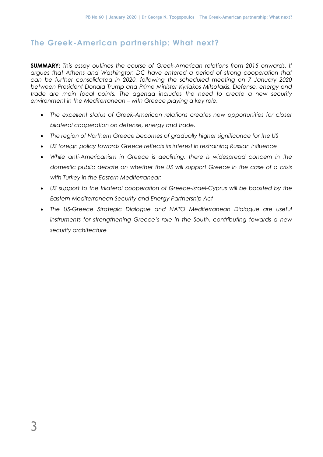## **The Greek-American partnership: What next?**

**SUMMARY:** *This essay outlines the course of Greek-American relations from 2015 onwards. It argues that Athens and Washington DC have entered a period of strong cooperation that can be further consolidated in 2020, following the scheduled meeting on 7 January 2020 between President Donald Trump and Prime Minister Kyriakos Mitsotakis. Defense, energy and trade are main focal points. The agenda includes the need to create a new security environment in the Mediterranean – with Greece playing a key role.* 

- *The excellent status of Greek-American relations creates new opportunities for closer bilateral cooperation on defense, energy and trade.*
- *The region of Northern Greece becomes of gradually higher significance for the US*
- *US foreign policy towards Greece reflects its interest in restraining Russian influence*
- *While anti-Americanism in Greece is declining, there is widespread concern in the domestic public debate on whether the US will support Greece in the case of a crisis with Turkey in the Eastern Mediterranean*
- *US support to the trilateral cooperation of Greece-Israel-Cyprus will be boosted by the Eastern Mediterranean Security and Energy Partnership Act*
- *The US-Greece Strategic Dialogue and NATO Mediterranean Dialogue are useful instruments for strengthening Greece's role in the South, contributing towards a new security architecture*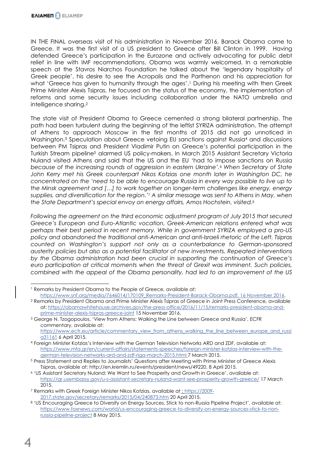IN THE FINAL overseas visit of his administration in November 2016, Barack Obama came to Greece. It was the first visit of a US president to Greece after Bill Clinton in 1999. Having defended Greece's participation in the Eurozone and actively advocating for public debt relief in line with IMF recommendations, Obama was warmly welcomed. In a remarkable speech at the Stavros Niarchos Foundation he talked about the 'legendary hospitality of Greek people', his desire to see the Acropolis and the Parthenon and his appreciation for what 'Greece has given to humanity through the ages'.<sup>1</sup> During his meeting with then Greek Prime Minister Alexis Tsipras, he focused on the status of the economy, the implementation of reforms and some security issues including collaboration under the NATO umbrella and intelligence sharing.<sup>2</sup>

The state visit of President Obama to Greece cemented a strong bilateral partnership. The path had been turbulent during the beginning of the leftist SYRIZA administration. The attempt of Athens to approach Moscow in the first months of 2015 did not go unnoticed in Washington.<sup>3</sup> Speculation about Greece vetoing EU sanctions against Russia<sup>4</sup> and discussions between PM Tsipras and President Vladimir Putin on Greece's potential participation in the Turkish Stream pipeline<sup>5</sup> alarmed US policy-makers. In March 2015 Assistant Secretary Victoria Nuland visited Athens and said that the US and the EU 'had to impose sanctions on Russia *because of the increasing rounds of aggression in eastern Ukraine'.*<sup>6</sup> *When Secretary of State John Kerry met his Greek counterpart Nikos Kotzias one month later in Washington DC, he concentrated on the 'need to be able to encourage Russia in every way possible to live up to the Minsk agreement and […] to work together on longer-term challenges like energy, energy supplies, and diversification for the region.'*<sup>7</sup> *A similar message was sent to Athens in May, when the State Department's special envoy on energy affairs, Amos Hochstein, visited.* 8

*Following the agreement on the third economic adjustment program of July 2015 that secured Greece's European and Euro-Atlantic vocation, Greek-American relations entered what was perhaps their best period in recent memory. While in government SYRIZA employed a pro-US policy and abandoned the traditional anti-American and anti-Israeli rhetoric of the Left. Tsipras counted on Washington's support not only as a counterbalance to German-sponsored austerity policies but also as a potential facilitator of new investments. Repeated interventions by the Obama administration had been crucial in supporting the continuation of Greece's euro participation at critical moments when the threat of Grexit was imminent. Such policies, combined with the appeal of the Obama personality, had led to an improvement of the US* 

<sup>&</sup>lt;sup>1</sup> Remarks by President Obama to the People of Greece, available at:

https://www.snf.org/media/7646014/170109\_Remarks-President-Barack-Obama.pdf, 16 November 2016. <sup>2</sup> Remarks by President Obama and Prime Minister Alexis Tsipras of Greece in Joint Press Conference, available at[: https://obamawhitehouse.archives.gov/the-press-office/2016/11/15/remarks-president-obama-and](https://obamawhitehouse.archives.gov/the-press-office/2016/11/15/remarks-president-obama-and-prime-minister-alexis-tsipras-greece-joint)[prime-minister-alexis-tsipras-greece-joint](https://obamawhitehouse.archives.gov/the-press-office/2016/11/15/remarks-president-obama-and-prime-minister-alexis-tsipras-greece-joint) 15 November 2016.

<sup>3</sup> George N. Tzogopoulos, 'View from Athens: Walking the Line between Greece and Russia', ECFR commentary, available at: https://www.ecfr.eu/article/commentary\_view\_from\_athens\_walking\_the\_line\_between\_europe\_and\_russi a31161 6 April 2015.

<sup>4</sup> Foreign Minister Kotzias's Interview with the German Television Networks ARD and ZDF, available at: [https://www.mfa.gr/en/current-affairs/statements-speeches/foreign-minister-kotzias-interview-with-the](https://www.mfa.gr/en/current-affairs/statements-speeches/foreign-minister-kotzias-interview-with-the-german-television-networks-ard-and-zdf-riga-march-2015.html)[german-television-networks-ard-and-zdf-riga-march-2015.html](https://www.mfa.gr/en/current-affairs/statements-speeches/foreign-minister-kotzias-interview-with-the-german-television-networks-ard-and-zdf-riga-march-2015.html) 7 March 2015.

<sup>5</sup> Press Statement and Replies to Journalists' Questions after Meeting with Prime Minister of Greece Alexis Tsipras, available at: http://en.kremlin.ru/events/president/news/49220, 8 April 2015.

<sup>6</sup> 'US Assistant Secretary Nuland: We Want to See Prosperity and Growth in Greece', available at: https://gr.usembassy.gov/u-s-assistant-secretary-nuland-want-see-prosperity-growth-greece/ 17 March 2015.

<sup>7</sup> Remarks with Greek Foreign Minister Nikos Kotzias, available at : https://2009- 2017.state.gov/secretary/remarks/2015/04/240873.htm 20 April 2015.

<sup>&</sup>lt;sup>8</sup> 'US Encouraging Greece to Diversify on Energy Sources, Stick to non-Russia Pipeline Project', available at: https://www.foxnews.com/world/us-encouraging-greece-to-diversify-on-energy-sources-stick-to-nonrussia-pipeline-project 8 May 2015.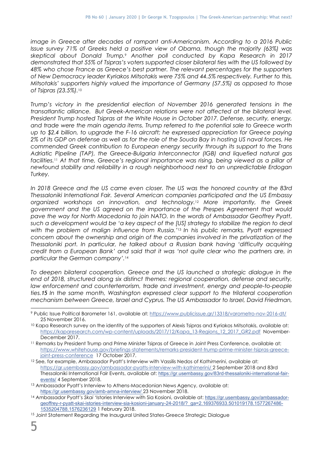*image in Greece after decades of rampant anti-Americanism. According to a 2016 Public Issue survey 71% of Greeks held a positive view of Obama, though the majority (63%) was skeptical about Donald Trump.*<sup>9</sup> *Another poll conducted by Kapa Research in 2017 demonstrated that 55% of Tsipras's voters supported closer bilateral ties with the US followed by 48% who chose France as Greece's best partner. The relevant percentages for the supporters of New Democracy leader Kyriakos Mitsotakis were 75% and 44.5% respectively. Further to this, Mitsotakis' supporters highly valued the importance of Germany (57.5%) as opposed to those of Tsipras (23.5%).*<sup>10</sup>

*Trump's victory in the presidential election of November 2016 generated tensions in the transatlantic alliance. But Greek-American relations were not affected at the bilateral level. President Trump hosted Tsipras at the White House in October 2017. Defense, security, energy, and trade were the main agenda items. Trump referred to the potential sale to Greece worth up to \$2.4 billion, to upgrade the F-16 aircraft; he expressed appreciation for Greece paying 2% of its GDP on defense as well as for the role of the Souda Bay in hosting US naval forces. He commended Greek contribution to European energy security through its support to the Trans Adriatic Pipeline (TAP), the Greece-Bulgaria Interconnector (IGB) and liquefied natural gas facilities.* <sup>11</sup> *At that time, Greece's regional importance was rising, being viewed as a pillar of newfound stability and reliability in a rough neighborhood next to an unpredictable Erdogan Turkey.* 

*In 2018 Greece and the US came even closer. The US was the honored country at the 83rd Thessaloniki International Fair. Several American companies participated and the US Embassy organized workshops on innovation, and technology.*<sup>12</sup> *More importantly, the Greek government and the US agreed on the importance of the Prespes Agreement that would pave the way for North Macedonia to join NATO. In the words of Ambassador Geoffrey Pyatt, such a development would be 'a key aspect of the [US] strategy to stabilize the region to deal with the problem of malign influence from Russia.'*<sup>13</sup> *In his public remarks, Pyatt expressed concern about the ownership and origin of the companies involved in the privatization of the Thessaloniki port. In particular, he talked about a Russian bank having 'difficulty acquiring credit from a European Bank' and said that it was 'not quite clear who the partners are, in particular the German company'.*<sup>14</sup>

*To deepen bilateral cooperation, Greece and the US launched a strategic dialogue in the end of 2018, structured along six distinct themes: regional cooperation, defense and security, law enforcement and counterterrorism, trade and investment, energy and people-to-people ties.15 In the same month, Washington expressed clear support to the trilateral cooperation mechanism between Greece, Israel and Cyprus. The US Ambassador to Israel, David Friedman,*

<sup>9</sup> Public Issue Political Barometer 161, available at:<https://www.publicissue.gr/13318/varometro-nov-2016-dt/> 25 November 2016.

<sup>&</sup>lt;sup>10</sup> Kapa Research survey on the identity of the supporters of Alexis Tsipras and Kyriakos Mitsotakis, available at: [https://kaparesearch.com/wp-content/uploads/2017/12/Kapa\\_13-Regions\\_12\\_2017\\_GR2.pdf](https://kaparesearch.com/wp-content/uploads/2017/12/Kapa_13-Regions_12_2017_GR2.pdf) November-December 2017.

<sup>11</sup> Remarks by President Trump and Prime Minister Tsipras of Greece in Joint Press Conference, available at: [https://www.whitehouse.gov/briefings-statements/remarks-president-trump-prime-minister-tsipras-greece](https://www.whitehouse.gov/briefings-statements/remarks-president-trump-prime-minister-tsipras-greece-joint-press-conference)[joint-press-conference](https://www.whitehouse.gov/briefings-statements/remarks-president-trump-prime-minister-tsipras-greece-joint-press-conference) 17 October 2017.

<sup>12</sup> See, for example, Ambassador Pyatt's Interview with Vassilis Nedos of *Kathimerini*, available at: <https://gr.usembassy.gov/ambassador-pyatts-interview-with-kathimerini/> 2 September 2018 and 83rd Thessaloniki International Fair Events, available at: https://gr.usembassy.gov/83rd-thessaloniki-international-fairevents/ 4 September 2018.

<sup>13</sup> Ambassador Pyatt's Interview to Athens-Macedonian News Agency, available at: <https://gr.usembassy.gov/amb-amna-interview/> 23 November 2018.

<sup>14</sup> Ambassador Pyatt's *Skai* 'Istories Interview with Sia Kosioni, available at: https://gr.usembassy.gov/ambassadorgeoffrey-r-pyatt-skai-istories-interview-sia-kosioni-january-24-2018/?\_ga=2.169376933.501019178.1577267486- 1535204788.1576236129 1 February 2018.

<sup>&</sup>lt;sup>15</sup> Joint Statement Regarding the Inaugural United States-Greece Strategic Dialogue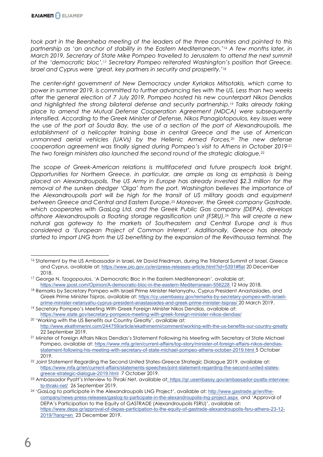*took part in the Beersheba meeting of the leaders of the three countries and pointed to this partnership as 'an anchor of stability in the Eastern Mediterranean.'*<sup>16</sup> *A few months later, in March 2019, Secretary of State Mike Pompeo travelled to Jerusalem to attend the next summit of the 'democratic bloc'.*<sup>17</sup> *Secretary Pompeo reiterated Washington's position that Greece, Israel and Cyprus were 'great, key partners in security and prosperity.'*<sup>18</sup>

*The center-right government of New Democracy under Kyriakos Mitsotakis, which came to power in summer 2019, is committed to further advancing ties with the US. Less than two weeks after the general election of 7 July 2019, Pompeo hosted his new counterpart Nikos Dendias and highlighted the strong bilateral defense and security partnership.* <sup>19</sup> *Talks already taking place to amend the Mutual Defense Cooperation Agreement (MDCA) were subsequently intensified. According to the Greek Minister of Defense, Nikos Panagiotopoulos, key issues were the use of the port at Souda Bay, the use of a section of the port of Alexandroupolis, the establishment of a helicopter training base in central Greece and the use of American unmanned aerial vehicles (UAVs) by the Hellenic Armed Forces.*<sup>20</sup> *The new defense cooperation agreement was finally signed during Pompeo's visit to Athens in October 2019*.<sup>21</sup> *The two foreign ministers also launched the second round of the strategic dialogue.*<sup>22</sup>

*The scope of Greek-American relations is multifaceted and future prospects look bright. Opportunities for Northern Greece, in particular, are ample as long as emphasis is being placed on Alexandroupolis. The US Army in Europe has already invested \$2.3 million for the removal of the sunken dredger 'Olga' from the port. Washington believes the importance of the Alexandroupolis port will be high for the transit of US military goods and equipment between Greece and Central and Eastern Europe.* <sup>23</sup> *Moreover, the Greek company Gastrade, which cooperates with GasLog Ltd. and the Greek Public Gas company (DEPA), develops offshore Alexandroupolis a floating storage regasification unit (FSRU).*<sup>24</sup> *This will create a new natural gas gateway to the markets of Southeastern and Central Europe and is thus considered a 'European Project of Common Interest'. Additionally, Greece has already started to import LNG from the US benefiting by the expansion of the Revithoussa terminal. The* 

<sup>16</sup> Statement by the US Ambassador in Israel, Mr David Friedman, during the Trilateral Summit of Israel, Greece and Cyprus, available at: https://www.pio.gov.cy/en/press-releases-article.html?id=5391#flat 20 December 2018.

<sup>&</sup>lt;sup>17</sup> George N. Tzogopoulos, 'A Democratic Bloc in the Eastern Mediterranean', available at: <https://www.jpost.com/Opinion/A-democratic-bloc-in-the-eastern-Mediterranean-556228> 12 May 2018.

<sup>18</sup> Remarks by Secretary Pompeo with Israeli Prime Minister Netanyahu, Cyprus President Anastasiades, and Greek Prime Minister Tsipras, available at: [https://cy.usembassy.gov/remarks-by-secretary-pompeo-with-israeli](https://cy.usembassy.gov/remarks-by-secretary-pompeo-with-israeli-prime-minister-netanyahu-cyprus-president-anastasiades-and-greek-prime-minister-tsipras/)[prime-minister-netanyahu-cyprus-president-anastasiades-and-greek-prime-minister-tsipras/](https://cy.usembassy.gov/remarks-by-secretary-pompeo-with-israeli-prime-minister-netanyahu-cyprus-president-anastasiades-and-greek-prime-minister-tsipras/) 20 March 2019.

<sup>&</sup>lt;sup>19</sup> Secretary Pompeo's Meeting With Greek Foreign Minister Nikos Dendias, available at: https://www.state.gov/secretary-pompeos-meeting-with-greek-foreign-minister-nikos-dendias/

<sup>20</sup> 'Working with the US Benefits our Country Greatly', available at: <http://www.ekathimerini.com/244759/article/ekathimerini/comment/working-with-the-us-benefits-our-country-greatly> 22 September 2019.

<sup>21</sup> Minister of Foreign Affairs Nikos Dendias's Statement Following his Meeting with Secretary of State Michael Pompeo, available at: [https://www.mfa.gr/en/current-affairs/top-story/minister-of-foreign-affairs-nikos-dendias](https://www.mfa.gr/en/current-affairs/top-story/minister-of-foreign-affairs-nikos-dendias-statement-following-his-meeting-with-secretary-of-state-michael-pompeo-athens-october-2019.html)[statement-following-his-meeting-with-secretary-of-state-michael-pompeo-athens-october-2019.html](https://www.mfa.gr/en/current-affairs/top-story/minister-of-foreign-affairs-nikos-dendias-statement-following-his-meeting-with-secretary-of-state-michael-pompeo-athens-october-2019.html) 5 October 2019.

<sup>22</sup> Joint Statement Regarding the Second United States-Greece Strategic Dialogue 2019, available at: [https://www.mfa.gr/en/current-affairs/statements-speeches/joint-statement-regarding-the-second-united-states](https://www.mfa.gr/en/current-affairs/statements-speeches/joint-statement-regarding-the-second-united-states-greece-strategic-dialogue-2019.html)[greece-strategic-dialogue-2019.html](https://www.mfa.gr/en/current-affairs/statements-speeches/joint-statement-regarding-the-second-united-states-greece-strategic-dialogue-2019.html) 7 October 2019.

<sup>23</sup> Ambassador Pyatt's Interview to *Thraki Net*, available at: [https://gr.usembassy.gov/ambassador-pyatts-interview](https://gr.usembassy.gov/ambassador-pyatts-interview-to-thraki-net/)[to-thraki-net/](https://gr.usembassy.gov/ambassador-pyatts-interview-to-thraki-net/) 26 September 2019.

<sup>&</sup>lt;sup>24</sup> 'GasLog to participate in the Alexandroupolis LNG Project', available at: [http://www.gastrade.gr/en/the](http://www.gastrade.gr/en/the-company/news-press-releases/gaslog-to-participate-in-the-alexandroupolis-lng-project.aspx)[company/news-press-releases/gaslog-to-participate-in-the-alexandroupolis-lng-project.aspx](http://www.gastrade.gr/en/the-company/news-press-releases/gaslog-to-participate-in-the-alexandroupolis-lng-project.aspx) and 'Approval of DEPA's Participation to the Equity of GASTRADE (Alexandroupolis FSRU)', available at: [https://www.depa.gr/approval-of-depas-participation-to-the-equity-of-gastrade-alexandroupolis-fsru-athens-23-12-](https://www.depa.gr/approval-of-depas-participation-to-the-equity-of-gastrade-alexandroupolis-fsru-athens-23-12-2019/?lang=en) [2019/?lang=en](https://www.depa.gr/approval-of-depas-participation-to-the-equity-of-gastrade-alexandroupolis-fsru-athens-23-12-2019/?lang=en) 23 December 2019.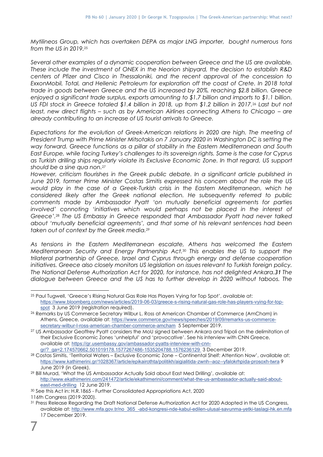*Mytilineos Group, which has overtaken DEPA as major LNG importer, bought numerous tons from the US in 2019.* 25

*Several other examples of a dynamic cooperation between Greece and the US are available. These include the investment of ONEX in the Neorion shipyard, the decision to establish R&D centers of Pfizer and Cisco in Thessaloniki, and the recent approval of the concession to ExxonMobil, Total, and Hellenic Petroleum for exploration off the coast of Crete. In 2018 total trade in goods between Greece and the US increased by 20%, reaching \$2.8 billion. Greece enjoyed a significant trade surplus, exports amounting to \$1.7 billion and imports to \$1.1 billion. US FDI stock in Greece totaled \$1.4 billion in 2018, up from \$1.2 billion in 2017.* <sup>26</sup> *Last but not least, new direct flights – such as by American Airlines connecting Athens to Chicago – are already contributing to an increase of US tourist arrivals to Greece.* 

*Expectations for the evolution of Greek-American relations in 2020 are high. The meeting of President Trump with Prime Minister Mitsotakis on 7 January 2020 in Washington DC is setting the way forward. Greece functions as a pillar of stability in the Eastern Mediterranean and South East Europe, while facing Turkey's challenges to its sovereign rights. Same is the case for Cyprus as Turkish drilling ships regularly violate its Exclusive Economic Zone. In that regard, US support should be a sine qua non.*<sup>27</sup>

*However, criticism flourishes in the Greek public debate. In a significant article published in June 2019, former Prime Minister Costas Simitis expressed his concern about the role the US would play in the case of a Greek-Turkish crisis in the Eastern Mediterranean, which he considered likely after the Greek national election. He subsequently referred to public comments made by Ambassador Pyatt 'on mutually beneficial agreements for parties involved' connoting 'initiatives which would perhaps not be placed in the interest of Greece'.*<sup>28</sup> *The US Embassy in Greece responded that Ambassador Pyatt had never talked about 'mutually beneficial agreements', and that some of his relevant sentences had been taken out of context by the Greek media.* 29

*As tensions in the Eastern Mediterranean escalate, Athens has welcomed the Eastern Mediterranean Security and Energy Partnership Act.* <sup>30</sup> *This enables the US to support the trilateral partnership of Greece, Israel and Cyprus through energy and defense cooperation initiatives. Greece also closely monitors US legislation on issues relevant to Turkish foreign policy. The National Defense Authorization Act for 2020, for instance, has not delighted Ankara.31 The dialogue between Greece and the US has to further develop in 2020 without taboos. The* 

<sup>25</sup> Paul Tugwell, 'Greece's Rising Natural Gas Role Has Players Vying for Top Spot', available at: [https://www.bloomberg.com/news/articles/2019-06-03/greece-s-rising-natural-gas-role-has-players-vying-for-top](https://www.bloomberg.com/news/articles/2019-06-03/greece-s-rising-natural-gas-role-has-players-vying-for-top-spot)[spot](https://www.bloomberg.com/news/articles/2019-06-03/greece-s-rising-natural-gas-role-has-players-vying-for-top-spot) 3 June 2019 (registration required).

<sup>&</sup>lt;sup>26</sup> Remarks by US Commerce Secretary Wilbur L. Ross at American Chamber of Commerce (AmCham) in Athens, Greece, available at: [https://www.commerce.gov/news/speeches/2019/09/remarks-us-commerce](https://www.commerce.gov/news/speeches/2019/09/remarks-us-commerce-secretary-wilbur-l-ross-american-chamber-commerce-amcham)[secretary-wilbur-l-ross-american-chamber-commerce-amcham](https://www.commerce.gov/news/speeches/2019/09/remarks-us-commerce-secretary-wilbur-l-ross-american-chamber-commerce-amcham) 5 September 2019.

<sup>27</sup> US Ambassador Geoffrey Pyatt considers the MoU signed between Ankara and Tripoli on the delimitation of their Exclusive Economic Zones 'unhelpful' and 'provocative'. See his interview with CNN Greece, available at: [https://gr.usembassy.gov/ambassador-pyatts-interview-with-cnn](https://gr.usembassy.gov/ambassador-pyatts-interview-with-cnn-gr/?_ga=2.174570662.501019178.1577267486-1535204788.1576236129)[gr/?\\_ga=2.174570662.501019178.1577267486-1535204788.1576236129](https://gr.usembassy.gov/ambassador-pyatts-interview-with-cnn-gr/?_ga=2.174570662.501019178.1577267486-1535204788.1576236129) 3 December 2019.

<sup>28</sup> Costas Simitis, 'Territorial Waters – Exclusive Economic Zone – Continental Shelf: Attention Now', available at: <https://www.kathimerini.gr/1028367/article/epikairothta/politikh/aigialitida-zwnh--aoz--yfalokrhpida-prosoxh-twra> 9 June 2019 (in Greek).

<sup>29</sup> Bill Murad, 'What the US Ambassador Actually Said about East Med Drilling', available at: [http://www.ekathimerini.com/241472/article/ekathimerini/comment/what-the-us-ambassador-actually-said-about](http://www.ekathimerini.com/241472/article/ekathimerini/comment/what-the-us-ambassador-actually-said-about-east-med-drilling)[east-med-drilling](http://www.ekathimerini.com/241472/article/ekathimerini/comment/what-the-us-ambassador-actually-said-about-east-med-drilling) 12 June 2019.

<sup>30</sup> See this Act in: H.R.1865 - Further Consolidated Appropriations Act, 2020

<sup>116</sup>th Congress (2019-2020).

<sup>&</sup>lt;sup>31</sup> Press Release Regarding the Draft National Defense Authorization Act for 2020 Adopted in the US Congress, available at: [http://www.mfa.gov.tr/no\\_365\\_-abd-kongresi-nde-kabul-edilen-ulusal-savunma-yetki-taslagi-hk.en.mfa](http://www.mfa.gov.tr/no_365_-abd-kongresi-nde-kabul-edilen-ulusal-savunma-yetki-taslagi-hk.en.mfa) 17 December 2019.